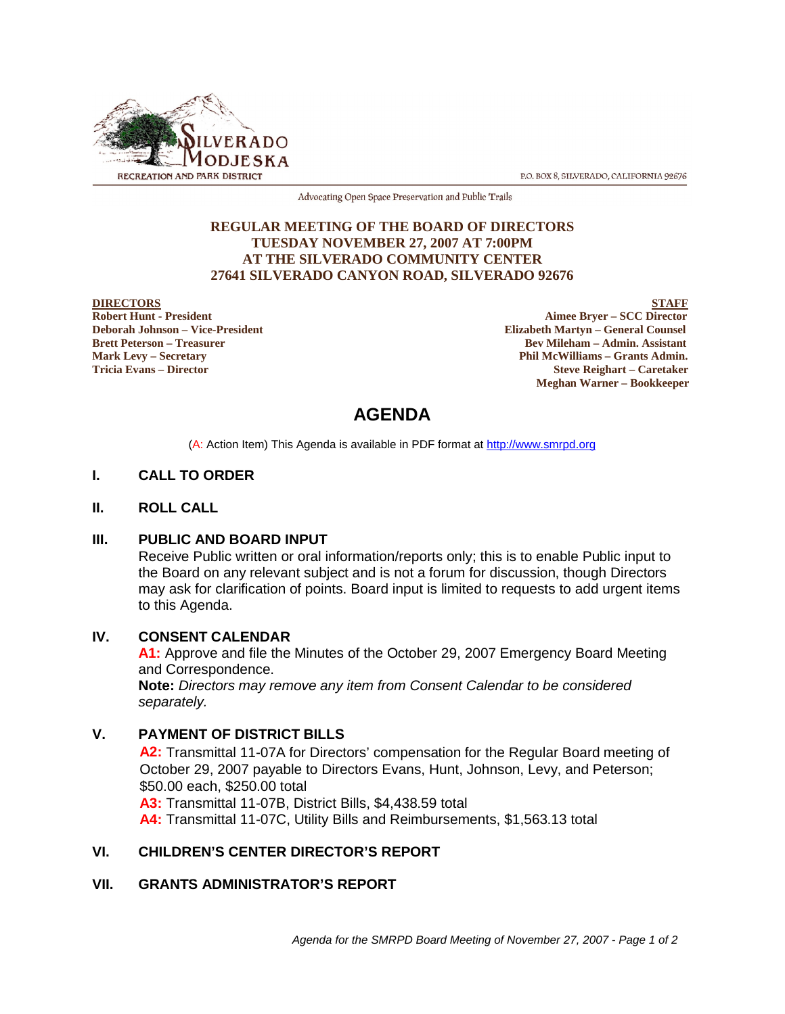

P.O. BOX 8, SILVERADO, CALIFORNIA 92676

Advocating Open Space Preservation and Public Trails

#### **REGULAR MEETING OF THE BOARD OF DIRECTORS TUESDAY NOVEMBER 27, 2007 AT 7:00PM AT THE SILVERADO COMMUNITY CENTER 27641 SILVERADO CANYON ROAD, SILVERADO 92676**

**DIRECTORS** STAFF<br>
Robert Hunt - President Aimee Bryer – SCC Director<br>
Aimee Bryer – SCC Director **Aimee Bryer – SCC Director Deborah Johnson – Vice-President Elizabeth Martyn – General Counsel Brett Peterson – Treasurer Sexual Assistant** Bev Mileham – Admin. Assistant **Mark Levy – Secretary Phil McWilliams – Grants Admin. Tricia Evans – Director Steve Reighart – Caretaker Meghan Warner – Bookkeeper**

# **AGENDA**

(A: Action Item) This Agenda is available in PDF format at http://www.smrpd.org

### **I. CALL TO ORDER**

#### **II. ROLL CALL**

#### **III. PUBLIC AND BOARD INPUT**

Receive Public written or oral information/reports only; this is to enable Public input to the Board on any relevant subject and is not a forum for discussion, though Directors may ask for clarification of points. Board input is limited to requests to add urgent items to this Agenda.

#### **IV. CONSENT CALENDAR**

**A1:** Approve and file the Minutes of the October 29, 2007 Emergency Board Meeting and Correspondence.

**Note:** *Directors may remove any item from Consent Calendar to be considered separately.*

#### **V. PAYMENT OF DISTRICT BILLS**

**A2:** Transmittal 11-07A for Directors' compensation for the Regular Board meeting of October 29, 2007 payable to Directors Evans, Hunt, Johnson, Levy, and Peterson; \$50.00 each, \$250.00 total **A3:** Transmittal 11-07B, District Bills, \$4,438.59 total

**A4:** Transmittal 11-07C, Utility Bills and Reimbursements, \$1,563.13 total

#### **VI. CHILDREN'S CENTER DIRECTOR'S REPORT**

#### **VII. GRANTS ADMINISTRATOR'S REPORT**